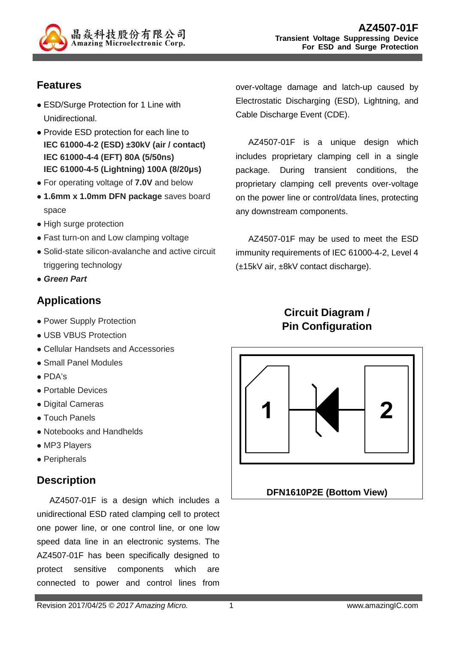

# **Features**

- ESD/Surge Protection for 1 Line with Unidirectional.
- Provide ESD protection for each line to **IEC 61000-4-2 (ESD) ±30kV (air / contact) IEC 61000-4-4 (EFT) 80A (5/50ns) IEC 61000-4-5 (Lightning) 100A (8/20µs)**
- For operating voltage of **7.0V** and below
- **1.6mm x 1.0mm DFN package** saves board space
- High surge protection
- Fast turn-on and Low clamping voltage
- Solid-state silicon-avalanche and active circuit triggering technology
- **Green Part**

# **Applications**

- Power Supply Protection
- USB VBUS Protection
- Cellular Handsets and Accessories
- Small Panel Modules
- PDA's
- Portable Devices
- Digital Cameras
- Touch Panels
- Notebooks and Handhelds
- MP3 Players
- Peripherals

#### **Description**

AZ4507-01F is a design which includes a unidirectional ESD rated clamping cell to protect one power line, or one control line, or one low speed data line in an electronic systems. The AZ4507-01F has been specifically designed to protect sensitive components which are connected to power and control lines from

AZ4507-01F is a unique design which includes proprietary clamping cell in a single package. During transient conditions, the proprietary clamping cell prevents over-voltage on the power line or control/data lines, protecting any downstream components.

AZ4507-01F may be used to meet the ESD immunity requirements of IEC 61000-4-2, Level 4 (±15kV air, ±8kV contact discharge).

# **Circuit Diagram / Pin Configuration**

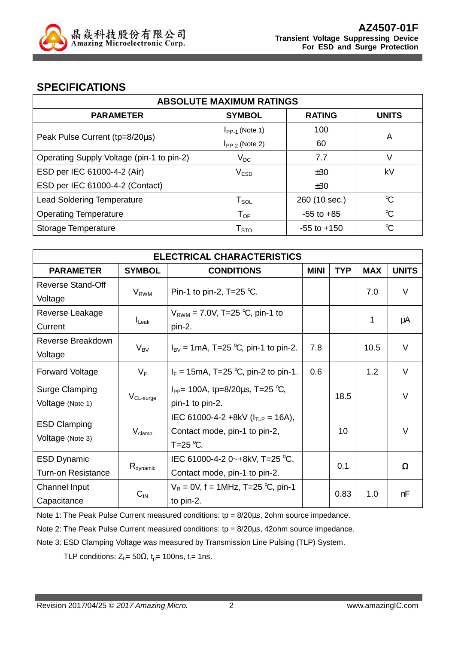

#### **SPECIFICATIONS**

| <b>ABSOLUTE MAXIMUM RATINGS</b>           |                        |                 |              |  |
|-------------------------------------------|------------------------|-----------------|--------------|--|
| <b>PARAMETER</b>                          | <b>SYMBOL</b>          | <b>RATING</b>   | <b>UNITS</b> |  |
|                                           | $I_{PP-1}$ (Note 1)    | 100             | A            |  |
| Peak Pulse Current (tp=8/20µs)            | $I_{PP-2}$ (Note 2)    | 60              |              |  |
| Operating Supply Voltage (pin-1 to pin-2) | $V_{DC}$               | 7.7             | V            |  |
| ESD per IEC 61000-4-2 (Air)               | V <sub>ESD</sub>       | ±30             | kV           |  |
| ESD per IEC 61000-4-2 (Contact)           |                        | ±30             |              |  |
| <b>Lead Soldering Temperature</b>         | $T_{\texttt{SOL}}$     | 260 (10 sec.)   | $\mathrm{C}$ |  |
| <b>Operating Temperature</b>              | $T_{OP}$               | $-55$ to $+85$  | $\mathrm{C}$ |  |
| Storage Temperature                       | ${\sf T}_{\text{STO}}$ | $-55$ to $+150$ | $\mathrm{C}$ |  |

| <b>ELECTRICAL CHARACTERISTICS</b>               |                         |                                                                                         |             |            |            |              |
|-------------------------------------------------|-------------------------|-----------------------------------------------------------------------------------------|-------------|------------|------------|--------------|
| <b>PARAMETER</b>                                | <b>SYMBOL</b>           | <b>CONDITIONS</b>                                                                       | <b>MINI</b> | <b>TYP</b> | <b>MAX</b> | <b>UNITS</b> |
| Reverse Stand-Off<br>Voltage                    | <b>V</b> <sub>RWM</sub> | Pin-1 to pin-2, T=25 $°C$ .                                                             |             |            | 7.0        | V            |
| Reverse Leakage<br>Current                      | $I_{\text{L}eak}$       | $V_{RWM}$ = 7.0V, T=25 °C, pin-1 to<br>pin-2.                                           |             |            | 1          | μA           |
| Reverse Breakdown<br>Voltage                    | $V_{BV}$                | $I_{\rm BV}$ = 1mA, T=25 °C, pin-1 to pin-2.                                            | 7.8         |            | 10.5       | V            |
| <b>Forward Voltage</b>                          | $V_F$                   | $I_F = 15 \text{mA}$ , T=25 °C, pin-2 to pin-1.                                         | 0.6         |            | 1.2        | $\vee$       |
| <b>Surge Clamping</b><br>Voltage (Note 1)       | V <sub>CL-surge</sub>   | $I_{PP}$ = 100A, tp=8/20 $\mu$ s, T=25 °C,<br>pin-1 to pin-2.                           |             | 18.5       |            | V            |
| <b>ESD Clamping</b><br>Voltage (Note 3)         | $V_{\text{clamp}}$      | IEC 61000-4-2 +8kV ( $I_{TLP}$ = 16A),<br>Contact mode, pin-1 to pin-2,<br>$T = 25$ °C. |             | 10         |            | V            |
| <b>ESD Dynamic</b><br><b>Turn-on Resistance</b> | $R_{\text{dynamic}}$    | IEC 61000-4-2 0~+8kV, T=25 °C,<br>Contact mode, pin-1 to pin-2.                         |             | 0.1        |            | Ω            |
| Channel Input<br>Capacitance                    | $C_{\text{IN}}$         | $V_R = 0V$ , f = 1MHz, T=25 °C, pin-1<br>to pin-2.                                      |             | 0.83       | 1.0        | nF           |

Note 1: The Peak Pulse Current measured conditions: tp = 8/20us, 2ohm source impedance.

Note 2: The Peak Pulse Current measured conditions:  $tp = 8/20 \mu s$ , 42ohm source impedance.

Note 3: ESD Clamping Voltage was measured by Transmission Line Pulsing (TLP) System.

TLP conditions:  $Z_0 = 50\Omega$ ,  $t_p = 100$ ns,  $t_r = 1$ ns.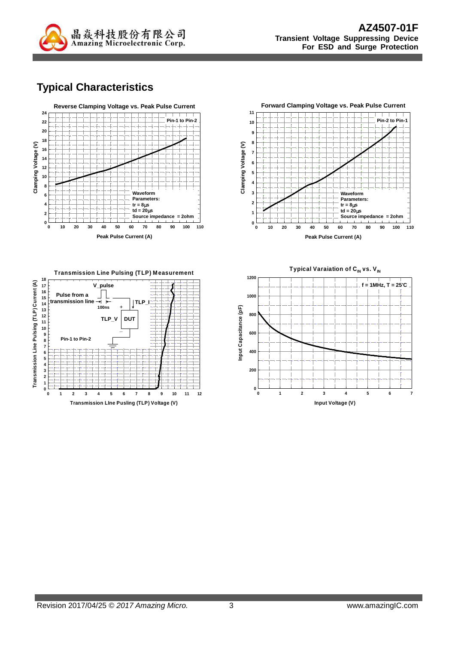

# **Typical Characteristics**







Typical Varaiation of C<sub>IN</sub> vs. V<sub>IN</sub>

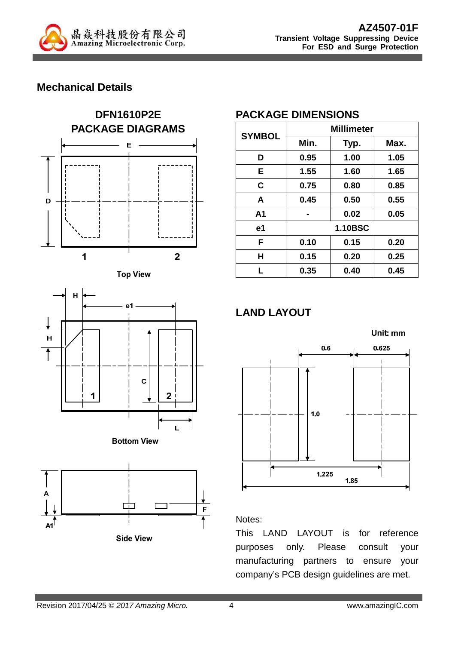

## **Mechanical Details**











## **PACKAGE DIMENSIONS**

| <b>SYMBOL</b>  | <b>Millimeter</b> |      |      |  |
|----------------|-------------------|------|------|--|
|                | Min.              | Typ. | Max. |  |
| D              | 0.95              | 1.00 | 1.05 |  |
| E              | 1.55              | 1.60 | 1.65 |  |
| C              | 0.75              | 0.80 | 0.85 |  |
| A              | 0.45              | 0.50 | 0.55 |  |
| A <sub>1</sub> |                   | 0.02 | 0.05 |  |
| e1             | <b>1.10BSC</b>    |      |      |  |
| F              | 0.10              | 0.15 | 0.20 |  |
| H              | 0.15              | 0.20 | 0.25 |  |
| L              | 0.35              | 0.40 | 0.45 |  |

# **LAND LAYOUT**



#### Notes:

This LAND LAYOUT is for reference purposes only. Please consult your manufacturing partners to ensure your company's PCB design guidelines are met.